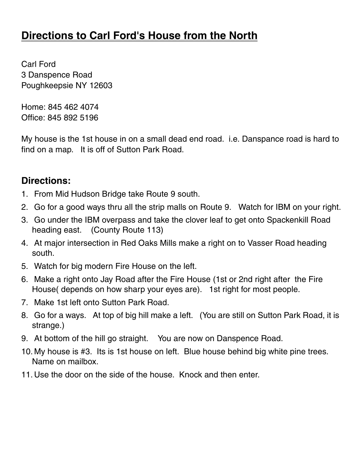### **Directions to Carl Ford's House from the North**

Carl Ford 3 Danspence Road Poughkeepsie NY 12603

Home: 845 462 4074 Office: 845 892 5196

My house is the 1st house in on a small dead end road. i.e. Danspance road is hard to find on a map. It is off of Sutton Park Road.

#### **Directions:**

- 1. From Mid Hudson Bridge take Route 9 south.
- 2. Go for a good ways thru all the strip malls on Route 9. Watch for IBM on your right.
- 3. Go under the IBM overpass and take the clover leaf to get onto Spackenkill Road heading east. (County Route 113)
- 4. At major intersection in Red Oaks Mills make a right on to Vasser Road heading south.
- 5. Watch for big modern Fire House on the left.
- 6. Make a right onto Jay Road after the Fire House (1st or 2nd right after the Fire House( depends on how sharp your eyes are). 1st right for most people.
- 7. Make 1st left onto Sutton Park Road.
- 8. Go for a ways. At top of big hill make a left. (You are still on Sutton Park Road, it is strange.)
- 9. At bottom of the hill go straight. You are now on Danspence Road.
- 10. My house is #3. Its is 1st house on left. Blue house behind big white pine trees. Name on mailbox.
- 11. Use the door on the side of the house. Knock and then enter.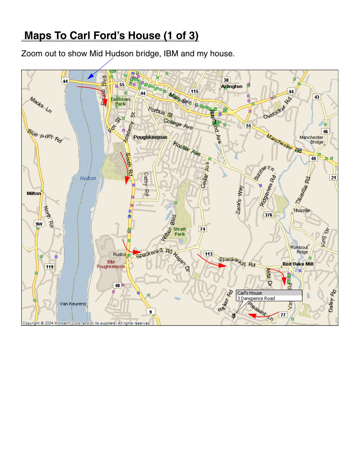# **Maps To Carl Ford's House (1 of 3)**

Zoom out to show Mid Hudson bridge, IBM and my house.

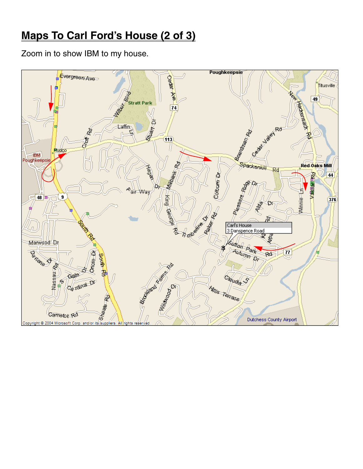# **Maps To Carl Ford's House (2 of 3)**

Zoom in to show IBM to my house.